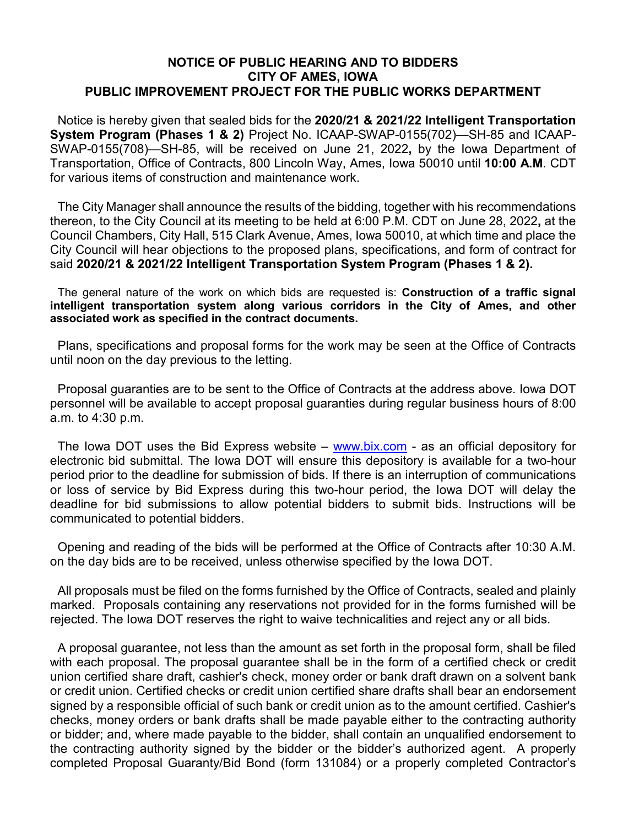## **NOTICE OF PUBLIC HEARING AND TO BIDDERS CITY OF AMES, IOWA PUBLIC IMPROVEMENT PROJECT FOR THE PUBLIC WORKS DEPARTMENT**

Notice is hereby given that sealed bids for the **2020/21 & 2021/22 Intelligent Transportation System Program (Phases 1 & 2)** Project No. ICAAP-SWAP-0155(702)—SH-85 and ICAAP-SWAP-0155(708)—SH-85, will be received on June 21, 2022**,** by the Iowa Department of Transportation, Office of Contracts, 800 Lincoln Way, Ames, Iowa 50010 until **10:00 A.M**. CDT for various items of construction and maintenance work.

The City Manager shall announce the results of the bidding, together with his recommendations thereon, to the City Council at its meeting to be held at 6:00 P.M. CDT on June 28, 2022**,** at the Council Chambers, City Hall, 515 Clark Avenue, Ames, Iowa 50010, at which time and place the City Council will hear objections to the proposed plans, specifications, and form of contract for said **2020/21 & 2021/22 Intelligent Transportation System Program (Phases 1 & 2).**

The general nature of the work on which bids are requested is: **Construction of a traffic signal intelligent transportation system along various corridors in the City of Ames, and other associated work as specified in the contract documents.**

Plans, specifications and proposal forms for the work may be seen at the Office of Contracts until noon on the day previous to the letting.

Proposal guaranties are to be sent to the Office of Contracts at the address above. Iowa DOT personnel will be available to accept proposal guaranties during regular business hours of 8:00 a.m. to 4:30 p.m.

The Iowa DOT uses the Bid Express website – [www.bix.com](http://www.bix.com/) - as an official depository for electronic bid submittal. The Iowa DOT will ensure this depository is available for a two-hour period prior to the deadline for submission of bids. If there is an interruption of communications or loss of service by Bid Express during this two-hour period, the Iowa DOT will delay the deadline for bid submissions to allow potential bidders to submit bids. Instructions will be communicated to potential bidders.

Opening and reading of the bids will be performed at the Office of Contracts after 10:30 A.M. on the day bids are to be received, unless otherwise specified by the Iowa DOT.

All proposals must be filed on the forms furnished by the Office of Contracts, sealed and plainly marked. Proposals containing any reservations not provided for in the forms furnished will be rejected. The Iowa DOT reserves the right to waive technicalities and reject any or all bids.

A proposal guarantee, not less than the amount as set forth in the proposal form, shall be filed with each proposal. The proposal guarantee shall be in the form of a certified check or credit union certified share draft, cashier's check, money order or bank draft drawn on a solvent bank or credit union. Certified checks or credit union certified share drafts shall bear an endorsement signed by a responsible official of such bank or credit union as to the amount certified. Cashier's checks, money orders or bank drafts shall be made payable either to the contracting authority or bidder; and, where made payable to the bidder, shall contain an unqualified endorsement to the contracting authority signed by the bidder or the bidder's authorized agent. A properly completed Proposal Guaranty/Bid Bond (form 131084) or a properly completed Contractor's